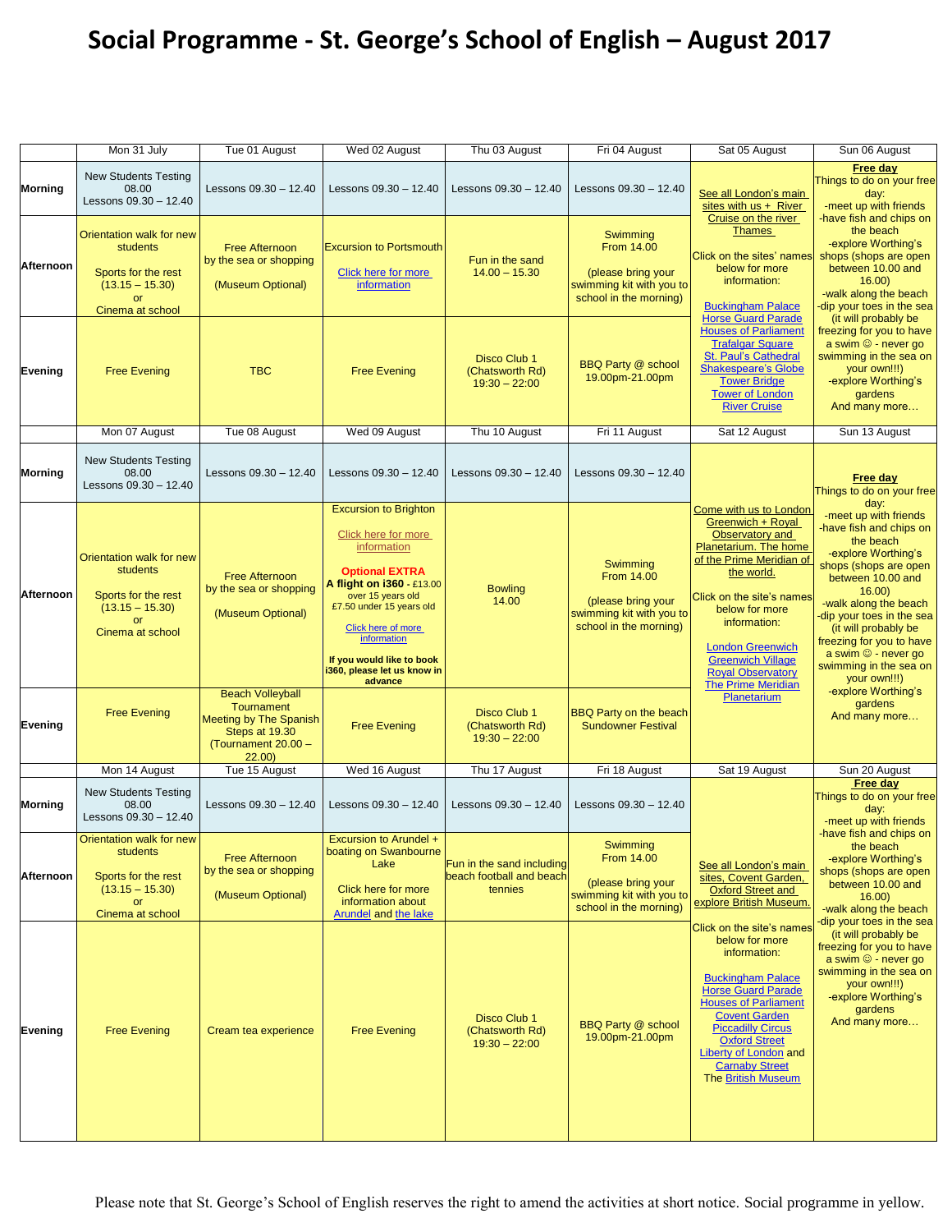## **Social Programme - St. George's School of English – August 2017**

|                | Mon 31 July                                                                                                       | Tue 01 August                                                                                                                   | Wed 02 August                                                                                                                                                                                                                                                                                | Thu 03 August                                                    | Fri 04 August                                                                                             | Sat 05 August                                                                                                                                                                                                                                                                                                    | Sun 06 August                                                                                                                                                                                                                                                                                                                              |
|----------------|-------------------------------------------------------------------------------------------------------------------|---------------------------------------------------------------------------------------------------------------------------------|----------------------------------------------------------------------------------------------------------------------------------------------------------------------------------------------------------------------------------------------------------------------------------------------|------------------------------------------------------------------|-----------------------------------------------------------------------------------------------------------|------------------------------------------------------------------------------------------------------------------------------------------------------------------------------------------------------------------------------------------------------------------------------------------------------------------|--------------------------------------------------------------------------------------------------------------------------------------------------------------------------------------------------------------------------------------------------------------------------------------------------------------------------------------------|
| <b>Morning</b> | <b>New Students Testing</b><br>08.00<br>Lessons 09.30 - 12.40                                                     | Lessons 09.30 - 12.40                                                                                                           | Lessons 09.30 - 12.40                                                                                                                                                                                                                                                                        | Lessons 09.30 - 12.40                                            | Lessons 09.30 - 12.40                                                                                     | See all London's main<br>sites with $us +$ River<br>Cruise on the river                                                                                                                                                                                                                                          | <b>Free day</b><br>Things to do on your free<br>day:<br>-meet up with friends<br>have fish and chips on                                                                                                                                                                                                                                    |
| Afternoon      | Orientation walk for new<br>students<br>Sports for the rest<br>$(13.15 - 15.30)$<br>Cinema at school              | <b>Free Afternoon</b><br>by the sea or shopping<br>(Museum Optional)                                                            | <b>Excursion to Portsmouth</b><br>Click here for more<br>information                                                                                                                                                                                                                         | Fun in the sand<br>$14.00 - 15.30$                               | Swimming<br>From 14.00<br>(please bring your<br>swimming kit with you to<br>school in the morning)        | <b>Thames</b><br>Click on the sites' names<br>below for more<br>information:<br><b>Buckingham Palace</b>                                                                                                                                                                                                         | the beach<br>-explore Worthing's<br>shops (shops are open<br>between 10.00 and<br>16.00<br>-walk along the beach<br>dip your toes in the sea                                                                                                                                                                                               |
| Evening        | <b>Free Evening</b>                                                                                               | <b>TBC</b>                                                                                                                      | <b>Free Evening</b>                                                                                                                                                                                                                                                                          | Disco Club 1<br>(Chatsworth Rd)<br>$19:30 - 22:00$               | <b>BBQ Party @ school</b><br>19.00pm-21.00pm                                                              | <b>Horse Guard Parade</b><br><b>Houses of Parliament</b><br><b>Trafalgar Square</b><br>St. Paul's Cathedral<br><b>Shakespeare's Globe</b><br><b>Tower Bridge</b><br><b>Tower of London</b><br><b>River Cruise</b>                                                                                                | (it will probably be<br>freezing for you to have<br>a swim $\odot$ - never go<br>swimming in the sea on<br>your own!!!)<br>-explore Worthing's<br>gardens<br>And many more                                                                                                                                                                 |
|                | Mon 07 August                                                                                                     | Tue 08 August                                                                                                                   | Wed 09 August                                                                                                                                                                                                                                                                                | Thu 10 August                                                    | Fri 11 August                                                                                             | Sat 12 August                                                                                                                                                                                                                                                                                                    | Sun 13 August                                                                                                                                                                                                                                                                                                                              |
| Morning        | <b>New Students Testing</b><br>08.00<br>Lessons 09.30 - 12.40                                                     | Lessons 09.30 - 12.40                                                                                                           | Lessons $09.30 - 12.40$                                                                                                                                                                                                                                                                      | Lessons 09.30 – 12.40                                            | Lessons 09.30 - 12.40                                                                                     |                                                                                                                                                                                                                                                                                                                  | Free day<br>Things to do on your free                                                                                                                                                                                                                                                                                                      |
| Afternoon      | Orientation walk for new<br>students<br>Sports for the rest<br>$(13.15 - 15.30)$<br>or<br>Cinema at school        | <b>Free Afternoon</b><br>by the sea or shopping<br>(Museum Optional)                                                            | <b>Excursion to Brighton</b><br>Click here for more<br>information<br><b>Optional EXTRA</b><br>A flight on i360 - £13.00<br>over 15 years old<br>£7.50 under 15 years old<br>Click here of more<br><i>information</i><br>If you would like to book<br>i360, please let us know in<br>advance | <b>Bowling</b><br>14.00                                          | Swimming<br><b>From 14.00</b><br>(please bring your<br>swimming kit with you to<br>school in the morning) | Come with us to London<br>Greenwich + Roval<br>Observatory and<br>Planetarium. The home<br>of the Prime Meridian of<br>the world.<br>Click on the site's names<br>below for more<br>information:<br><b>London Greenwich</b><br><b>Greenwich Village</b><br><b>Royal Observatory</b><br><b>The Prime Meridian</b> | day:<br>-meet up with friends<br>-have fish and chips on<br>the beach<br>-explore Worthing's<br>shops (shops are open<br>between 10.00 and<br>16.00<br>-walk along the beach<br>dip your toes in the sea<br>(it will probably be<br>freezing for you to have<br>a swim $\circledcirc$ - never go<br>swimming in the sea on<br>your own!!!) |
| Evening        | <b>Free Evening</b>                                                                                               | <b>Beach Volleyball</b><br><b>Tournament</b><br><b>Meeting by The Spanish</b><br>Steps at 19.30<br>(Tournament 20.00 -<br>22.00 | <b>Free Evening</b>                                                                                                                                                                                                                                                                          | Disco Club 1<br>(Chatsworth Rd)<br>$19:30 - 22:00$               | <b>BBQ Party on the beach</b><br><b>Sundowner Festival</b>                                                | Planetarium                                                                                                                                                                                                                                                                                                      | -explore Worthing's<br>gardens<br>And many more                                                                                                                                                                                                                                                                                            |
|                | Mon 14 August                                                                                                     | Tue 15 August                                                                                                                   | Wed 16 August                                                                                                                                                                                                                                                                                | Thu 17 August                                                    | Fri 18 August                                                                                             | Sat 19 August                                                                                                                                                                                                                                                                                                    | Sun 20 August                                                                                                                                                                                                                                                                                                                              |
| Morning        | <b>New Students Testing</b><br>08.00<br>Lessons 09.30 - 12.40                                                     | Lessons 09.30 - 12.40                                                                                                           | Lessons 09.30 - 12.40                                                                                                                                                                                                                                                                        | Lessons 09.30 - 12.40                                            | Lessons 09.30 - 12.40                                                                                     |                                                                                                                                                                                                                                                                                                                  | Free day<br>Things to do on your free<br>day:<br>-meet up with friends                                                                                                                                                                                                                                                                     |
| Afternoon      | Orientation walk for new<br>students<br>Sports for the rest<br>$(13.15 - 15.30)$<br><b>or</b><br>Cinema at school | <b>Free Afternoon</b><br>by the sea or shopping<br>(Museum Optional)                                                            | Excursion to Arundel +<br>boating on Swanbourne<br>Lake<br>Click here for more<br>information about<br><b>Arundel and the lake</b>                                                                                                                                                           | Fun in the sand including<br>beach football and beach<br>tennies | Swimming<br>From 14.00<br>(please bring your<br>swimming kit with you to<br>school in the morning)        | See all London's main<br>sites, Covent Garden,<br><b>Oxford Street and</b><br>explore British Museum.                                                                                                                                                                                                            | -have fish and chips on<br>the beach<br>-explore Worthing's<br>shops (shops are open<br>between 10.00 and<br>16.00<br>-walk along the beach                                                                                                                                                                                                |
| <b>Evening</b> | <b>Free Evening</b>                                                                                               | Cream tea experience                                                                                                            | <b>Free Evening</b>                                                                                                                                                                                                                                                                          | Disco Club 1<br>(Chatsworth Rd)<br>$19:30 - 22:00$               | <b>BBQ Party @ school</b><br>19.00pm-21.00pm                                                              | Click on the site's names<br>below for more<br>information:<br><b>Buckingham Palace</b><br><b>Horse Guard Parade</b><br><b>Houses of Parliament</b><br><b>Covent Garden</b><br><b>Piccadilly Circus</b><br><b>Oxford Street</b><br>Liberty of London and<br><b>Carnaby Street</b><br><b>The British Museum</b>   | dip your toes in the sea<br>(it will probably be<br>freezing for you to have<br>a swim $\odot$ - never go<br>swimming in the sea on<br>your own!!!)<br>-explore Worthing's<br>gardens<br>And many more                                                                                                                                     |